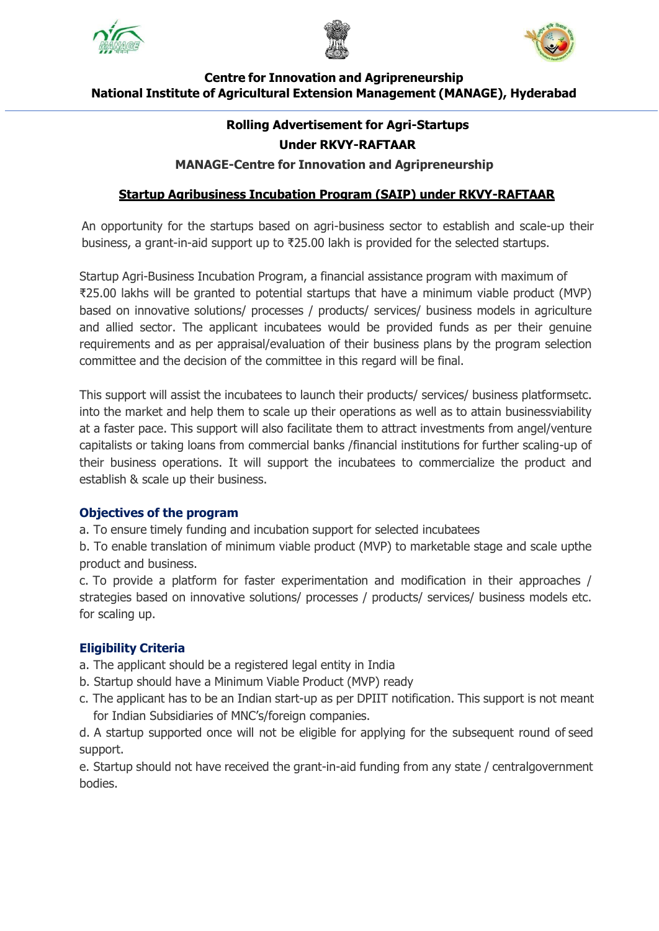





# **Centre for Innovation and Agripreneurship National Institute of Agricultural Extension Management (MANAGE), Hyderabad**

#### **Rolling Advertisement for Agri-Startups Under RKVY-RAFTAAR**

#### **MANAGE-Centre for Innovation and Agripreneurship**

# **Startup Agribusiness Incubation Program (SAIP) under RKVY-RAFTAAR**

An opportunity for the startups based on agri-business sector to establish and scale-up their business, a grant-in-aid support up to ₹25.00 lakh is provided for the selected startups.

Startup Agri-Business Incubation Program, a financial assistance program with maximum of ₹25.00 lakhs will be granted to potential startups that have a minimum viable product (MVP) based on innovative solutions/ processes / products/ services/ business models in agriculture and allied sector. The applicant incubatees would be provided funds as per their genuine requirements and as per appraisal/evaluation of their business plans by the program selection committee and the decision of the committee in this regard will be final.

This support will assist the incubatees to launch their products/ services/ business platformsetc. into the market and help them to scale up their operations as well as to attain businessviability at a faster pace. This support will also facilitate them to attract investments from angel/venture capitalists or taking loans from commercial banks /financial institutions for further scaling-up of their business operations. It will support the incubatees to commercialize the product and establish & scale up their business.

#### **Objectives of the program**

a. To ensure timely funding and incubation support for selected incubatees

b. To enable translation of minimum viable product (MVP) to marketable stage and scale upthe product and business.

c. To provide a platform for faster experimentation and modification in their approaches / strategies based on innovative solutions/ processes / products/ services/ business models etc. for scaling up.

#### **Eligibility Criteria**

- a. The applicant should be a registered legal entity in India
- b. Startup should have a Minimum Viable Product (MVP) ready
- c. The applicant has to be an Indian start-up as per DPIIT notification. This support is not meant for Indian Subsidiaries of MNC's/foreign companies.

d. A startup supported once will not be eligible for applying for the subsequent round of seed support.

e. Startup should not have received the grant-in-aid funding from any state / centralgovernment bodies.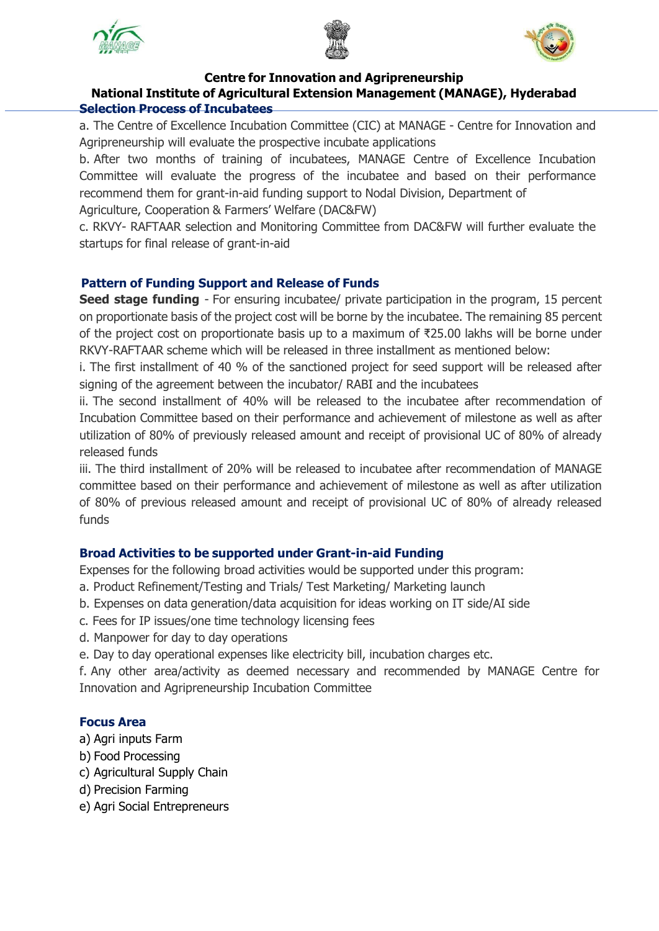





#### **Centre for Innovation and Agripreneurship**

# **National Institute of Agricultural Extension Management (MANAGE), Hyderabad Selection Process of Incubatees**

a. The Centre of Excellence Incubation Committee (CIC) at MANAGE - Centre for Innovation and Agripreneurship will evaluate the prospective incubate applications

b. After two months of training of incubatees, MANAGE Centre of Excellence Incubation Committee will evaluate the progress of the incubatee and based on their performance recommend them for grant-in-aid funding support to Nodal Division, Department of

Agriculture, Cooperation & Farmers' Welfare (DAC&FW)

c. RKVY- RAFTAAR selection and Monitoring Committee from DAC&FW will further evaluate the startups for final release of grant-in-aid

# **Pattern of Funding Support and Release of Funds**

**Seed stage funding** - For ensuring incubatee/ private participation in the program, 15 percent on proportionate basis of the project cost will be borne by the incubatee. The remaining 85 percent of the project cost on proportionate basis up to a maximum of ₹25.00 lakhs will be borne under RKVY-RAFTAAR scheme which will be released in three installment as mentioned below:

i. The first installment of 40 % of the sanctioned project for seed support will be released after signing of the agreement between the incubator/ RABI and the incubatees

ii. The second installment of 40% will be released to the incubatee after recommendation of Incubation Committee based on their performance and achievement of milestone as well as after utilization of 80% of previously released amount and receipt of provisional UC of 80% of already released funds

iii. The third installment of 20% will be released to incubatee after recommendation of MANAGE committee based on their performance and achievement of milestone as well as after utilization of 80% of previous released amount and receipt of provisional UC of 80% of already released funds

# **Broad Activities to be supported under Grant-in-aid Funding**

Expenses for the following broad activities would be supported under this program:

- a. Product Refinement/Testing and Trials/ Test Marketing/ Marketing launch
- b. Expenses on data generation/data acquisition for ideas working on IT side/AI side
- c. Fees for IP issues/one time technology licensing fees
- d. Manpower for day to day operations
- e. Day to day operational expenses like electricity bill, incubation charges etc.

f. Any other area/activity as deemed necessary and recommended by MANAGE Centre for Innovation and Agripreneurship Incubation Committee

#### **Focus Area**

- a) Agri inputs Farm
- b) Food Processing
- c) Agricultural Supply Chain
- d) Precision Farming
- e) Agri Social Entrepreneurs